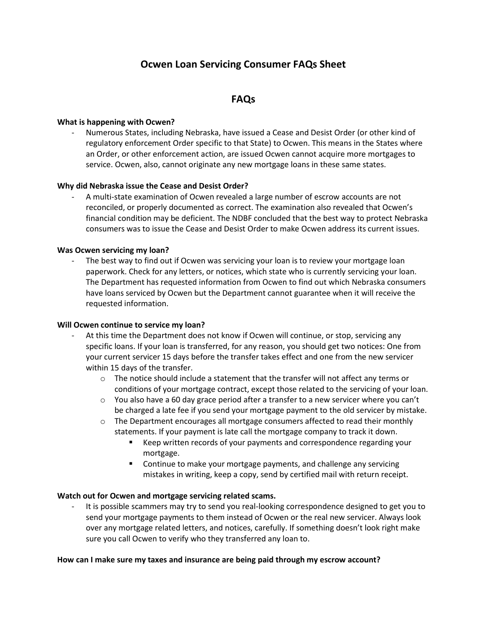# **Ocwen Loan Servicing Consumer FAQs Sheet**

## **FAQs**

#### **What is happening with Ocwen?**

- Numerous States, including Nebraska, have issued a Cease and Desist Order (or other kind of regulatory enforcement Order specific to that State) to Ocwen. This means in the States where an Order, or other enforcement action, are issued Ocwen cannot acquire more mortgages to service. Ocwen, also, cannot originate any new mortgage loans in these same states.

#### **Why did Nebraska issue the Cease and Desist Order?**

- A multi-state examination of Ocwen revealed a large number of escrow accounts are not reconciled, or properly documented as correct. The examination also revealed that Ocwen's financial condition may be deficient. The NDBF concluded that the best way to protect Nebraska consumers was to issue the Cease and Desist Order to make Ocwen address its current issues.

#### **Was Ocwen servicing my loan?**

The best way to find out if Ocwen was servicing your loan is to review your mortgage loan paperwork. Check for any letters, or notices, which state who is currently servicing your loan. The Department has requested information from Ocwen to find out which Nebraska consumers have loans serviced by Ocwen but the Department cannot guarantee when it will receive the requested information.

#### **Will Ocwen continue to service my loan?**

- At this time the Department does not know if Ocwen will continue, or stop, servicing any specific loans. If your loan is transferred, for any reason, you should get two notices: One from your current servicer 15 days before the transfer takes effect and one from the new servicer within 15 days of the transfer.
	- $\circ$  The notice should include a statement that the transfer will not affect any terms or conditions of your mortgage contract, except those related to the servicing of your loan.
	- $\circ$  You also have a 60 day grace period after a transfer to a new servicer where you can't be charged a late fee if you send your mortgage payment to the old servicer by mistake.
	- $\circ$  The Department encourages all mortgage consumers affected to read their monthly statements. If your payment is late call the mortgage company to track it down.
		- Keep written records of your payments and correspondence regarding your mortgage.
		- **EXEDENT** Continue to make your mortgage payments, and challenge any servicing mistakes in writing, keep a copy, send by certified mail with return receipt.

#### **Watch out for Ocwen and mortgage servicing related scams.**

It is possible scammers may try to send you real-looking correspondence designed to get you to send your mortgage payments to them instead of Ocwen or the real new servicer. Always look over any mortgage related letters, and notices, carefully. If something doesn't look right make sure you call Ocwen to verify who they transferred any loan to.

#### **How can I make sure my taxes and insurance are being paid through my escrow account?**